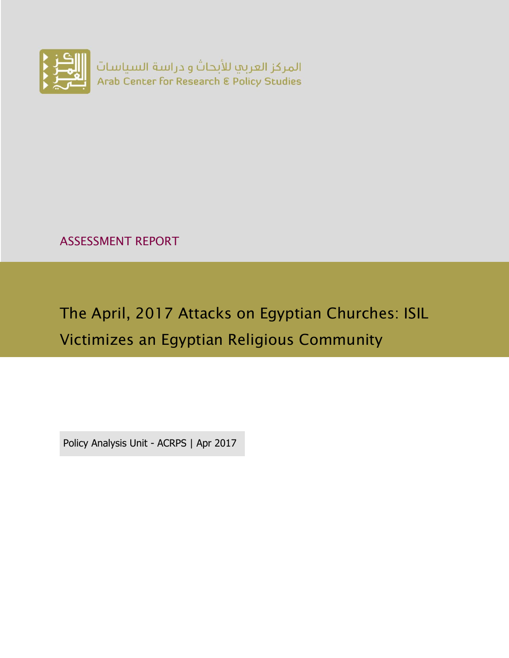

ASSESSMENT REPORT

# The April, 2017 Attacks on Egyptian Churches: ISIL Victimizes an Egyptian Religious Community

Policy Analysis Unit - ACRPS | Apr 2017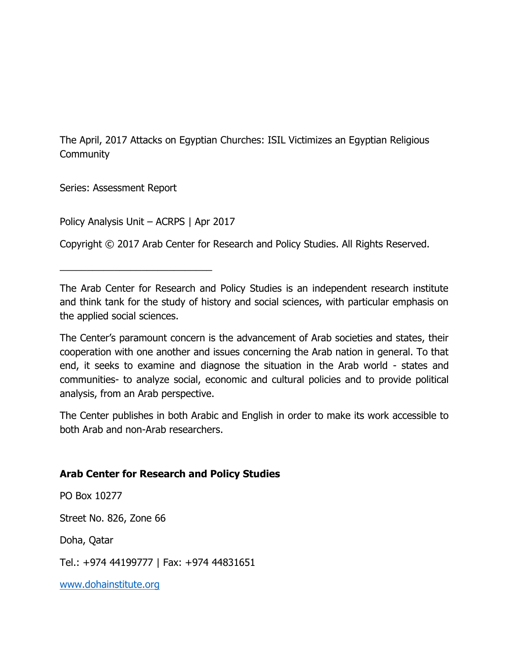The April, 2017 Attacks on Egyptian Churches: ISIL Victimizes an Egyptian Religious **Community** 

Series: Assessment Report

Policy Analysis Unit – ACRPS | Apr 2017

\_\_\_\_\_\_\_\_\_\_\_\_\_\_\_\_\_\_\_\_\_\_\_\_\_\_\_\_

Copyright © 2017 Arab Center for Research and Policy Studies. All Rights Reserved.

The Arab Center for Research and Policy Studies is an independent research institute and think tank for the study of history and social sciences, with particular emphasis on the applied social sciences.

The Center's paramount concern is the advancement of Arab societies and states, their cooperation with one another and issues concerning the Arab nation in general. To that end, it seeks to examine and diagnose the situation in the Arab world - states and communities- to analyze social, economic and cultural policies and to provide political analysis, from an Arab perspective.

The Center publishes in both Arabic and English in order to make its work accessible to both Arab and non-Arab researchers.

#### **Arab Center for Research and Policy Studies**

PO Box 10277

Street No. 826, Zone 66

Doha, Qatar

Tel.: +974 44199777 | Fax: +974 44831651

[www.dohainstitute.org](file:///C:/Users/dena.qaddumi/Desktop/www.dohainstitute.org)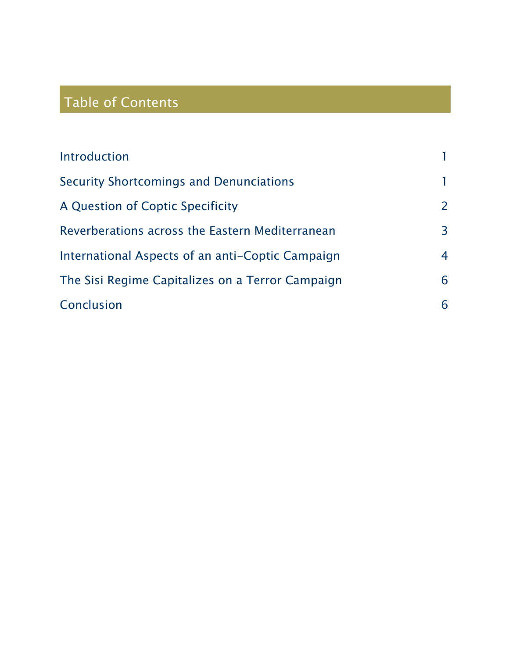## Table of Contents

| Introduction                                     |   |
|--------------------------------------------------|---|
| Security Shortcomings and Denunciations          |   |
| A Question of Coptic Specificity                 | 2 |
| Reverberations across the Eastern Mediterranean  | 3 |
| International Aspects of an anti-Coptic Campaign | 4 |
| The Sisi Regime Capitalizes on a Terror Campaign | 6 |
| Conclusion                                       | 6 |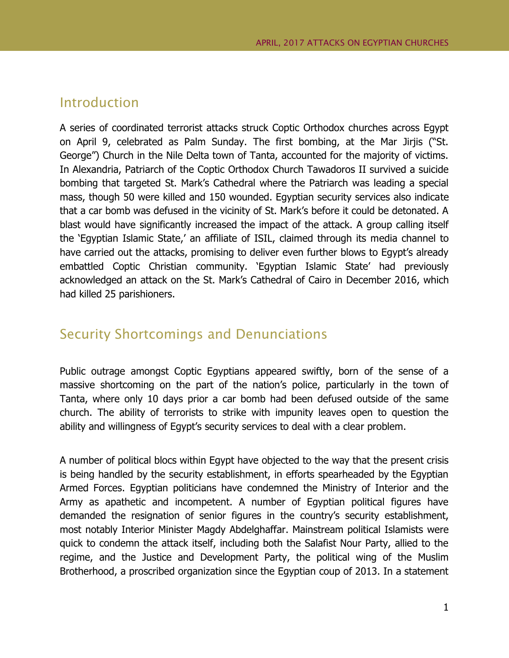#### <span id="page-4-0"></span>Introduction

A series of coordinated terrorist attacks struck Coptic Orthodox churches across Egypt on April 9, celebrated as Palm Sunday. The first bombing, at the Mar Jirjis ("St. George") Church in the Nile Delta town of Tanta, accounted for the majority of victims. In Alexandria, Patriarch of the Coptic Orthodox Church Tawadoros II survived a suicide bombing that targeted St. Mark's Cathedral where the Patriarch was leading a special mass, though 50 were killed and 150 wounded. Egyptian security services also indicate that a car bomb was defused in the vicinity of St. Mark's before it could be detonated. A blast would have significantly increased the impact of the attack. A group calling itself the 'Egyptian Islamic State,' an affiliate of ISIL, claimed through its media channel to have carried out the attacks, promising to deliver even further blows to Egypt's already embattled Coptic Christian community. 'Egyptian Islamic State' had previously acknowledged an attack on the St. Mark's Cathedral of Cairo in December 2016, which had killed 25 parishioners.

#### <span id="page-4-1"></span>Security Shortcomings and Denunciations

Public outrage amongst Coptic Egyptians appeared swiftly, born of the sense of a massive shortcoming on the part of the nation's police, particularly in the town of Tanta, where only 10 days prior a car bomb had been defused outside of the same church. The ability of terrorists to strike with impunity leaves open to question the ability and willingness of Egypt's security services to deal with a clear problem.

A number of political blocs within Egypt have objected to the way that the present crisis is being handled by the security establishment, in efforts spearheaded by the Egyptian Armed Forces. Egyptian politicians have condemned the Ministry of Interior and the Army as apathetic and incompetent. A number of Egyptian political figures have demanded the resignation of senior figures in the country's security establishment, most notably Interior Minister Magdy Abdelghaffar. Mainstream political Islamists were quick to condemn the attack itself, including both the Salafist Nour Party, allied to the regime, and the Justice and Development Party, the political wing of the Muslim Brotherhood, a proscribed organization since the Egyptian coup of 2013. In a statement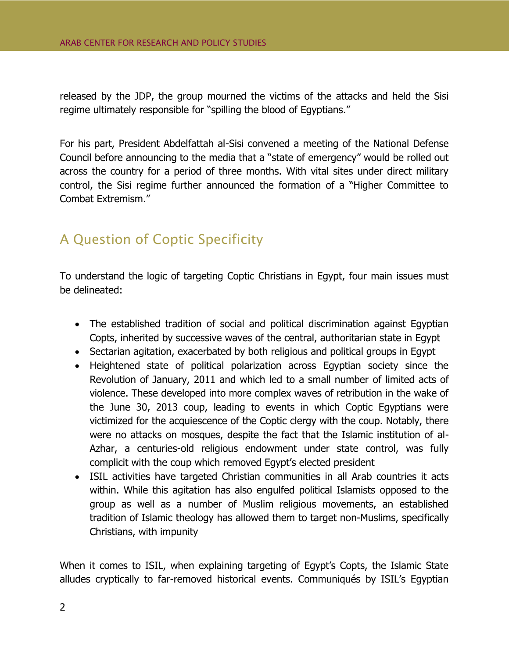released by the JDP, the group mourned the victims of the attacks and held the Sisi regime ultimately responsible for "spilling the blood of Egyptians."

For his part, President Abdelfattah al-Sisi convened a meeting of the National Defense Council before announcing to the media that a "state of emergency" would be rolled out across the country for a period of three months. With vital sites under direct military control, the Sisi regime further announced the formation of a "Higher Committee to Combat Extremism."

## <span id="page-5-0"></span>A Question of Coptic Specificity

To understand the logic of targeting Coptic Christians in Egypt, four main issues must be delineated:

- The established tradition of social and political discrimination against Egyptian Copts, inherited by successive waves of the central, authoritarian state in Egypt
- Sectarian agitation, exacerbated by both religious and political groups in Egypt
- Heightened state of political polarization across Egyptian society since the Revolution of January, 2011 and which led to a small number of limited acts of violence. These developed into more complex waves of retribution in the wake of the June 30, 2013 coup, leading to events in which Coptic Egyptians were victimized for the acquiescence of the Coptic clergy with the coup. Notably, there were no attacks on mosques, despite the fact that the Islamic institution of al-Azhar, a centuries-old religious endowment under state control, was fully complicit with the coup which removed Egypt's elected president
- ISIL activities have targeted Christian communities in all Arab countries it acts within. While this agitation has also engulfed political Islamists opposed to the group as well as a number of Muslim religious movements, an established tradition of Islamic theology has allowed them to target non-Muslims, specifically Christians, with impunity

When it comes to ISIL, when explaining targeting of Egypt's Copts, the Islamic State alludes cryptically to far-removed historical events. Communiqués by ISIL's Egyptian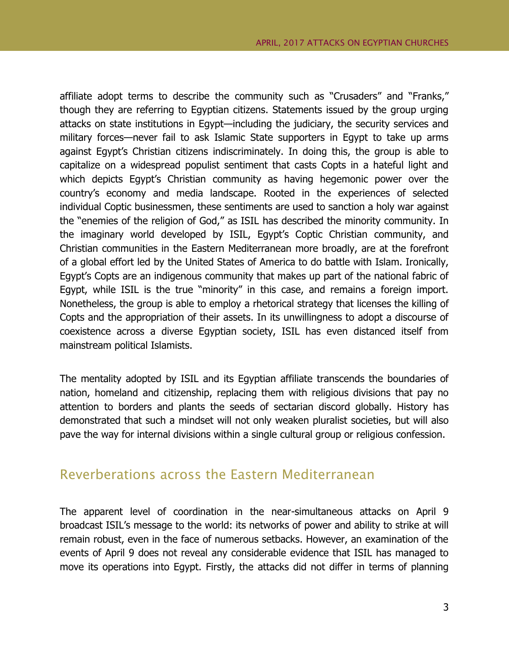affiliate adopt terms to describe the community such as "Crusaders" and "Franks," though they are referring to Egyptian citizens. Statements issued by the group urging attacks on state institutions in Egypt—including the judiciary, the security services and military forces—never fail to ask Islamic State supporters in Egypt to take up arms against Egypt's Christian citizens indiscriminately. In doing this, the group is able to capitalize on a widespread populist sentiment that casts Copts in a hateful light and which depicts Egypt's Christian community as having hegemonic power over the country's economy and media landscape. Rooted in the experiences of selected individual Coptic businessmen, these sentiments are used to sanction a holy war against the "enemies of the religion of God," as ISIL has described the minority community. In the imaginary world developed by ISIL, Egypt's Coptic Christian community, and Christian communities in the Eastern Mediterranean more broadly, are at the forefront of a global effort led by the United States of America to do battle with Islam. Ironically, Egypt's Copts are an indigenous community that makes up part of the national fabric of Egypt, while ISIL is the true "minority" in this case, and remains a foreign import. Nonetheless, the group is able to employ a rhetorical strategy that licenses the killing of Copts and the appropriation of their assets. In its unwillingness to adopt a discourse of coexistence across a diverse Egyptian society, ISIL has even distanced itself from mainstream political Islamists.

The mentality adopted by ISIL and its Egyptian affiliate transcends the boundaries of nation, homeland and citizenship, replacing them with religious divisions that pay no attention to borders and plants the seeds of sectarian discord globally. History has demonstrated that such a mindset will not only weaken pluralist societies, but will also pave the way for internal divisions within a single cultural group or religious confession.

#### <span id="page-6-0"></span>Reverberations across the Eastern Mediterranean

The apparent level of coordination in the near-simultaneous attacks on April 9 broadcast ISIL's message to the world: its networks of power and ability to strike at will remain robust, even in the face of numerous setbacks. However, an examination of the events of April 9 does not reveal any considerable evidence that ISIL has managed to move its operations into Egypt. Firstly, the attacks did not differ in terms of planning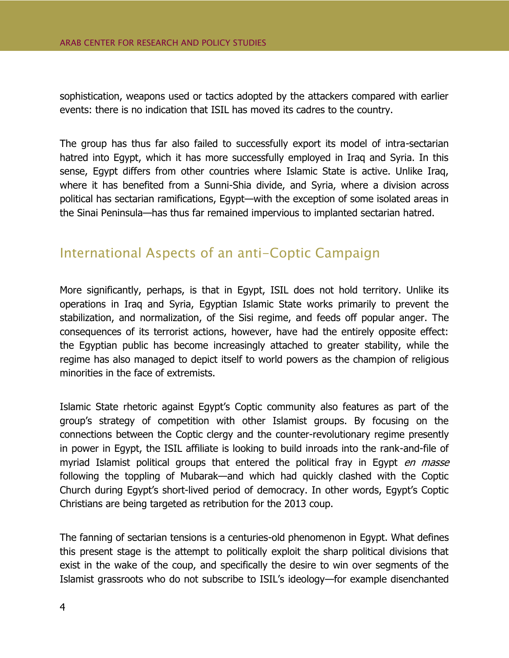sophistication, weapons used or tactics adopted by the attackers compared with earlier events: there is no indication that ISIL has moved its cadres to the country.

The group has thus far also failed to successfully export its model of intra-sectarian hatred into Egypt, which it has more successfully employed in Iraq and Syria. In this sense, Egypt differs from other countries where Islamic State is active. Unlike Iraq, where it has benefited from a Sunni-Shia divide, and Syria, where a division across political has sectarian ramifications, Egypt—with the exception of some isolated areas in the Sinai Peninsula—has thus far remained impervious to implanted sectarian hatred.

## <span id="page-7-0"></span>International Aspects of an anti-Coptic Campaign

More significantly, perhaps, is that in Egypt, ISIL does not hold territory. Unlike its operations in Iraq and Syria, Egyptian Islamic State works primarily to prevent the stabilization, and normalization, of the Sisi regime, and feeds off popular anger. The consequences of its terrorist actions, however, have had the entirely opposite effect: the Egyptian public has become increasingly attached to greater stability, while the regime has also managed to depict itself to world powers as the champion of religious minorities in the face of extremists.

Islamic State rhetoric against Egypt's Coptic community also features as part of the group's strategy of competition with other Islamist groups. By focusing on the connections between the Coptic clergy and the counter-revolutionary regime presently in power in Egypt, the ISIL affiliate is looking to build inroads into the rank-and-file of myriad Islamist political groups that entered the political fray in Egypt en masse following the toppling of Mubarak—and which had quickly clashed with the Coptic Church during Egypt's short-lived period of democracy. In other words, Egypt's Coptic Christians are being targeted as retribution for the 2013 coup.

The fanning of sectarian tensions is a centuries-old phenomenon in Egypt. What defines this present stage is the attempt to politically exploit the sharp political divisions that exist in the wake of the coup, and specifically the desire to win over segments of the Islamist grassroots who do not subscribe to ISIL's ideology—for example disenchanted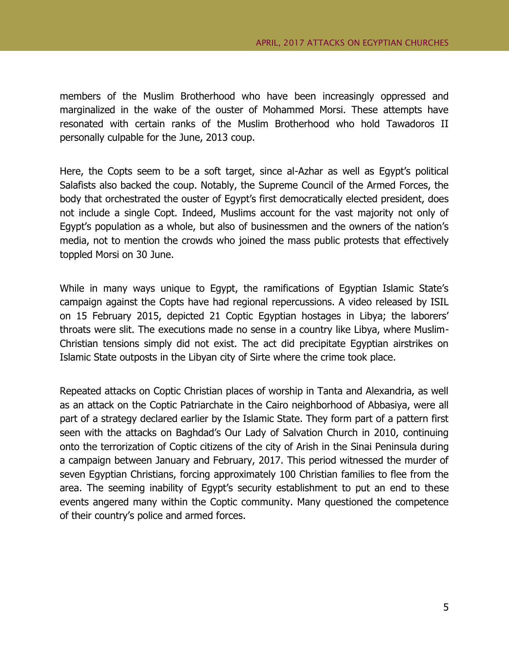members of the Muslim Brotherhood who have been increasingly oppressed and marginalized in the wake of the ouster of Mohammed Morsi. These attempts have resonated with certain ranks of the Muslim Brotherhood who hold Tawadoros II personally culpable for the June, 2013 coup.

Here, the Copts seem to be a soft target, since al-Azhar as well as Egypt's political Salafists also backed the coup. Notably, the Supreme Council of the Armed Forces, the body that orchestrated the ouster of Egypt's first democratically elected president, does not include a single Copt. Indeed, Muslims account for the vast majority not only of Egypt's population as a whole, but also of businessmen and the owners of the nation's media, not to mention the crowds who joined the mass public protests that effectively toppled Morsi on 30 June.

While in many ways unique to Egypt, the ramifications of Egyptian Islamic State's campaign against the Copts have had regional repercussions. A video released by ISIL on 15 February 2015, depicted 21 Coptic Egyptian hostages in Libya; the laborers' throats were slit. The executions made no sense in a country like Libya, where Muslim-Christian tensions simply did not exist. The act did precipitate Egyptian airstrikes on Islamic State outposts in the Libyan city of Sirte where the crime took place.

Repeated attacks on Coptic Christian places of worship in Tanta and Alexandria, as well as an attack on the Coptic Patriarchate in the Cairo neighborhood of Abbasiya, were all part of a strategy declared earlier by the Islamic State. They form part of a pattern first seen with the attacks on Baghdad's Our Lady of Salvation Church in 2010, continuing onto the terrorization of Coptic citizens of the city of Arish in the Sinai Peninsula during a campaign between January and February, 2017. This period witnessed the murder of seven Egyptian Christians, forcing approximately 100 Christian families to flee from the area. The seeming inability of Egypt's security establishment to put an end to these events angered many within the Coptic community. Many questioned the competence of their country's police and armed forces.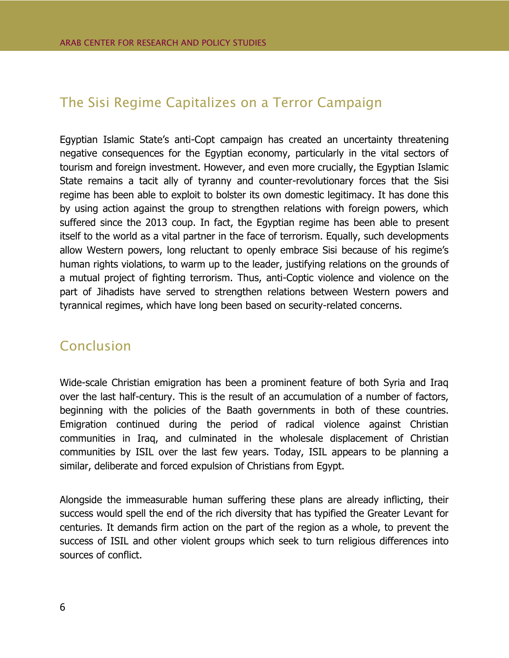## <span id="page-9-0"></span>The Sisi Regime Capitalizes on a Terror Campaign

Egyptian Islamic State's anti-Copt campaign has created an uncertainty threatening negative consequences for the Egyptian economy, particularly in the vital sectors of tourism and foreign investment. However, and even more crucially, the Egyptian Islamic State remains a tacit ally of tyranny and counter-revolutionary forces that the Sisi regime has been able to exploit to bolster its own domestic legitimacy. It has done this by using action against the group to strengthen relations with foreign powers, which suffered since the 2013 coup. In fact, the Egyptian regime has been able to present itself to the world as a vital partner in the face of terrorism. Equally, such developments allow Western powers, long reluctant to openly embrace Sisi because of his regime's human rights violations, to warm up to the leader, justifying relations on the grounds of a mutual project of fighting terrorism. Thus, anti-Coptic violence and violence on the part of Jihadists have served to strengthen relations between Western powers and tyrannical regimes, which have long been based on security-related concerns.

### <span id="page-9-1"></span>Conclusion

Wide-scale Christian emigration has been a prominent feature of both Syria and Iraq over the last half-century. This is the result of an accumulation of a number of factors, beginning with the policies of the Baath governments in both of these countries. Emigration continued during the period of radical violence against Christian communities in Iraq, and culminated in the wholesale displacement of Christian communities by ISIL over the last few years. Today, ISIL appears to be planning a similar, deliberate and forced expulsion of Christians from Egypt.

Alongside the immeasurable human suffering these plans are already inflicting, their success would spell the end of the rich diversity that has typified the Greater Levant for centuries. It demands firm action on the part of the region as a whole, to prevent the success of ISIL and other violent groups which seek to turn religious differences into sources of conflict.